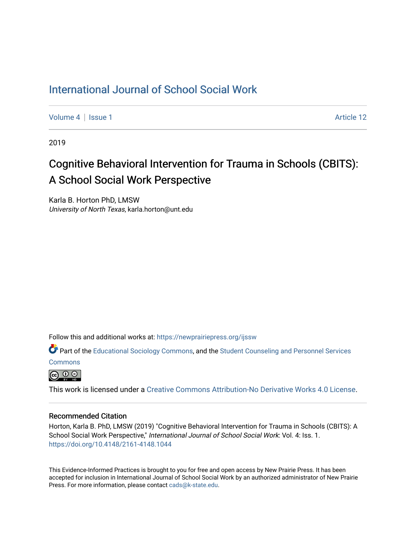# [International Journal of School Social Work](https://newprairiepress.org/ijssw)

[Volume 4](https://newprairiepress.org/ijssw/vol4) | [Issue 1](https://newprairiepress.org/ijssw/vol4/iss1) Article 12

2019

# Cognitive Behavioral Intervention for Trauma in Schools (CBITS): A School Social Work Perspective

Karla B. Horton PhD, LMSW University of North Texas, karla.horton@unt.edu

Follow this and additional works at: [https://newprairiepress.org/ijssw](https://newprairiepress.org/ijssw?utm_source=newprairiepress.org%2Fijssw%2Fvol4%2Fiss1%2F12&utm_medium=PDF&utm_campaign=PDFCoverPages) 

Part of the [Educational Sociology Commons,](http://network.bepress.com/hgg/discipline/1071?utm_source=newprairiepress.org%2Fijssw%2Fvol4%2Fiss1%2F12&utm_medium=PDF&utm_campaign=PDFCoverPages) and the [Student Counseling and Personnel Services](http://network.bepress.com/hgg/discipline/802?utm_source=newprairiepress.org%2Fijssw%2Fvol4%2Fiss1%2F12&utm_medium=PDF&utm_campaign=PDFCoverPages)  **[Commons](http://network.bepress.com/hgg/discipline/802?utm_source=newprairiepress.org%2Fijssw%2Fvol4%2Fiss1%2F12&utm_medium=PDF&utm_campaign=PDFCoverPages)** 

 $\boxed{6}$  0  $\boxed{0}$ 

This work is licensed under a [Creative Commons Attribution-No Derivative Works 4.0 License.](https://creativecommons.org/licenses/by-nd/4.0/)

#### Recommended Citation

Horton, Karla B. PhD, LMSW (2019) "Cognitive Behavioral Intervention for Trauma in Schools (CBITS): A School Social Work Perspective," International Journal of School Social Work: Vol. 4: Iss. 1. <https://doi.org/10.4148/2161-4148.1044>

This Evidence-Informed Practices is brought to you for free and open access by New Prairie Press. It has been accepted for inclusion in International Journal of School Social Work by an authorized administrator of New Prairie Press. For more information, please contact [cads@k-state.edu.](mailto:cads@k-state.edu)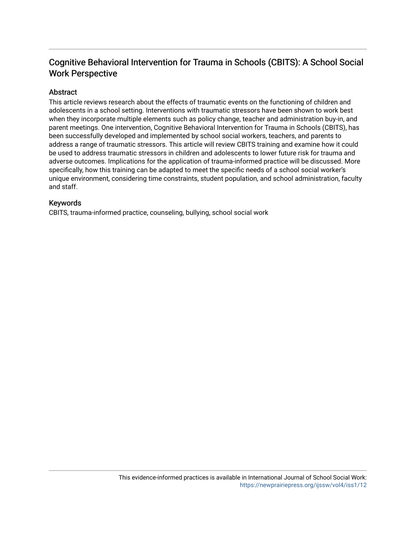# Cognitive Behavioral Intervention for Trauma in Schools (CBITS): A School Social Work Perspective

## Abstract

This article reviews research about the effects of traumatic events on the functioning of children and adolescents in a school setting. Interventions with traumatic stressors have been shown to work best when they incorporate multiple elements such as policy change, teacher and administration buy-in, and parent meetings. One intervention, Cognitive Behavioral Intervention for Trauma in Schools (CBITS), has been successfully developed and implemented by school social workers, teachers, and parents to address a range of traumatic stressors. This article will review CBITS training and examine how it could be used to address traumatic stressors in children and adolescents to lower future risk for trauma and adverse outcomes. Implications for the application of trauma-informed practice will be discussed. More specifically, how this training can be adapted to meet the specific needs of a school social worker's unique environment, considering time constraints, student population, and school administration, faculty and staff.

### Keywords

CBITS, trauma-informed practice, counseling, bullying, school social work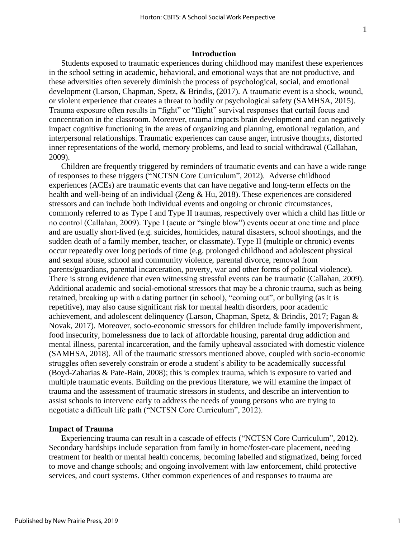#### **Introduction**

Students exposed to traumatic experiences during childhood may manifest these experiences in the school setting in academic, behavioral, and emotional ways that are not productive, and these adversities often severely diminish the process of psychological, social, and emotional development (Larson, Chapman, Spetz, & Brindis, (2017). A traumatic event is a shock, wound, or violent experience that creates a threat to bodily or psychological safety (SAMHSA, 2015). Trauma exposure often results in "fight" or "flight" survival responses that curtail focus and concentration in the classroom. Moreover, trauma impacts brain development and can negatively impact cognitive functioning in the areas of organizing and planning, emotional regulation, and interpersonal relationships. Traumatic experiences can cause anger, intrusive thoughts, distorted inner representations of the world, memory problems, and lead to social withdrawal (Callahan, 2009).

Children are frequently triggered by reminders of traumatic events and can have a wide range of responses to these triggers ("NCTSN Core Curriculum", 2012). Adverse childhood experiences (ACEs) are traumatic events that can have negative and long-term effects on the health and well-being of an individual (Zeng & Hu, 2018). These experiences are considered stressors and can include both individual events and ongoing or chronic circumstances, commonly referred to as Type I and Type II traumas, respectively over which a child has little or no control (Callahan, 2009). Type I (acute or "single blow") events occur at one time and place and are usually short-lived (e.g. suicides, homicides, natural disasters, school shootings, and the sudden death of a family member, teacher, or classmate). Type II (multiple or chronic) events occur repeatedly over long periods of time (e.g. prolonged childhood and adolescent physical and sexual abuse, school and community violence, parental divorce, removal from parents/guardians, parental incarceration, poverty, war and other forms of political violence). There is strong evidence that even witnessing stressful events can be traumatic (Callahan, 2009). Additional academic and social-emotional stressors that may be a chronic trauma, such as being retained, breaking up with a dating partner (in school), "coming out", or bullying (as it is repetitive), may also cause significant risk for mental health disorders, poor academic achievement, and adolescent delinquency (Larson, Chapman, Spetz, & Brindis, 2017; Fagan & Novak, 2017). Moreover, socio-economic stressors for children include family impoverishment, food insecurity, homelessness due to lack of affordable housing, parental drug addiction and mental illness, parental incarceration, and the family upheaval associated with domestic violence (SAMHSA, 2018). All of the traumatic stressors mentioned above, coupled with socio-economic struggles often severely constrain or erode a student's ability to be academically successful (Boyd-Zaharias & Pate-Bain, 2008); this is complex trauma, which is exposure to varied and multiple traumatic events. Building on the previous literature, we will examine the impact of trauma and the assessment of traumatic stressors in students, and describe an intervention to assist schools to intervene early to address the needs of young persons who are trying to negotiate a difficult life path ("NCTSN Core Curriculum", 2012).

#### **Impact of Trauma**

Experiencing trauma can result in a cascade of effects ("NCTSN Core Curriculum", 2012). Secondary hardships include separation from family in home/foster-care placement, needing treatment for health or mental health concerns, becoming labelled and stigmatized, being forced to move and change schools; and ongoing involvement with law enforcement, child protective services, and court systems. Other common experiences of and responses to trauma are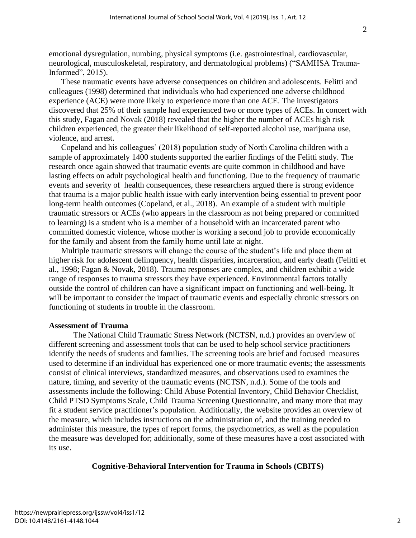emotional dysregulation, numbing, physical symptoms (i.e. gastrointestinal, cardiovascular, neurological, musculoskeletal, respiratory, and dermatological problems) ("SAMHSA Trauma-Informed", 2015).

These traumatic events have adverse consequences on children and adolescents. Felitti and colleagues (1998) determined that individuals who had experienced one adverse childhood experience (ACE) were more likely to experience more than one ACE. The investigators discovered that 25% of their sample had experienced two or more types of ACEs. In concert with this study, Fagan and Novak (2018) revealed that the higher the number of ACEs high risk children experienced, the greater their likelihood of self-reported alcohol use, marijuana use, violence, and arrest.

Copeland and his colleagues' (2018) population study of North Carolina children with a sample of approximately 1400 students supported the earlier findings of the Felitti study. The research once again showed that traumatic events are quite common in childhood and have lasting effects on adult psychological health and functioning. Due to the frequency of traumatic events and severity of health consequences, these researchers argued there is strong evidence that trauma is a major public health issue with early intervention being essential to prevent poor long-term health outcomes (Copeland, et al., 2018). An example of a student with multiple traumatic stressors or ACEs (who appears in the classroom as not being prepared or committed to learning) is a student who is a member of a household with an incarcerated parent who committed domestic violence, whose mother is working a second job to provide economically for the family and absent from the family home until late at night.

Multiple traumatic stressors will change the course of the student's life and place them at higher risk for adolescent delinquency, health disparities, incarceration, and early death (Felitti et al., 1998; Fagan & Novak, 2018). Trauma responses are complex, and children exhibit a wide range of responses to trauma stressors they have experienced. Environmental factors totally outside the control of children can have a significant impact on functioning and well-being. It will be important to consider the impact of traumatic events and especially chronic stressors on functioning of students in trouble in the classroom.

#### **Assessment of Trauma**

The National Child Traumatic Stress Network (NCTSN, n.d.) provides an overview of different screening and assessment tools that can be used to help school service practitioners identify the needs of students and families. The screening tools are brief and focused measures used to determine if an individual has experienced one or more traumatic events; the assessments consist of clinical interviews, standardized measures, and observations used to examines the nature, timing, and severity of the traumatic events (NCTSN, n.d.). Some of the tools and assessments include the following: Child Abuse Potential Inventory, Child Behavior Checklist, Child PTSD Symptoms Scale, Child Trauma Screening Questionnaire, and many more that may fit a student service practitioner's population. Additionally, the website provides an overview of the measure, which includes instructions on the administration of, and the training needed to administer this measure, the types of report forms, the psychometrics, as well as the population the measure was developed for; additionally, some of these measures have a cost associated with its use.

#### **Cognitive-Behavioral Intervention for Trauma in Schools (CBITS)**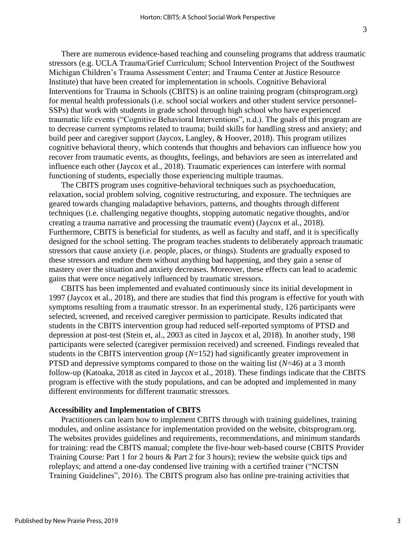There are numerous evidence-based teaching and counseling programs that address traumatic stressors (e.g. UCLA Trauma/Grief Curriculum; School Intervention Project of the Southwest Michigan Children's Trauma Assessment Center; and Trauma Center at Justice Resource Institute) that have been created for implementation in schools. Cognitive Behavioral Interventions for Trauma in Schools (CBITS) is an online training program (cbitsprogram.org) for mental health professionals (i.e. school social workers and other student service personnel-SSPs) that work with students in grade school through high school who have experienced traumatic life events ("Cognitive Behavioral Interventions", n.d.). The goals of this program are to decrease current symptoms related to trauma; build skills for handling stress and anxiety; and build peer and caregiver support (Jaycox, Langley, & Hoover, 2018). This program utilizes cognitive behavioral theory, which contends that thoughts and behaviors can influence how you recover from traumatic events, as thoughts, feelings, and behaviors are seen as interrelated and influence each other (Jaycox et al., 2018). Traumatic experiences can interfere with normal functioning of students, especially those experiencing multiple traumas.

The CBITS program uses cognitive-behavioral techniques such as psychoeducation, relaxation, social problem solving, cognitive restructuring, and exposure. The techniques are geared towards changing maladaptive behaviors, patterns, and thoughts through different techniques (i.e. challenging negative thoughts, stopping automatic negative thoughts, and/or creating a trauma narrative and processing the traumatic event) (Jaycox et al., 2018). Furthermore, CBITS is beneficial for students, as well as faculty and staff, and it is specifically designed for the school setting. The program teaches students to deliberately approach traumatic stressors that cause anxiety (i.e. people, places, or things). Students are gradually exposed to these stressors and endure them without anything bad happening, and they gain a sense of mastery over the situation and anxiety decreases. Moreover, these effects can lead to academic gains that were once negatively influenced by traumatic stressors.

CBITS has been implemented and evaluated continuously since its initial development in 1997 (Jaycox et al., 2018), and there are studies that find this program is effective for youth with symptoms resulting from a traumatic stressor. In an experimental study, 126 participants were selected, screened, and received caregiver permission to participate. Results indicated that students in the CBITS intervention group had reduced self-reported symptoms of PTSD and depression at post-test (Stein et, al., 2003 as cited in Jaycox et al, 2018). In another study, 198 participants were selected (caregiver permission received) and screened. Findings revealed that students in the CBITS intervention group (*N*=152) had significantly greater improvement in PTSD and depressive symptoms compared to those on the waiting list (*N*=46) at a 3 month follow-up (Katoaka, 2018 as cited in Jaycox et al., 2018). These findings indicate that the CBITS program is effective with the study populations, and can be adopted and implemented in many different environments for different traumatic stressors.

#### **Accessibility and Implementation of CBITS**

Practitioners can learn how to implement CBITS through with training guidelines, training modules, and online assistance for implementation provided on the website, cbitsprogram.org. The websites provides guidelines and requirements, recommendations, and minimum standards for training: read the CBITS manual; complete the five-hour web-based course (CBITS Provider Training Course: Part 1 for 2 hours & Part 2 for 3 hours); review the website quick tips and roleplays; and attend a one-day condensed live training with a certified trainer ("NCTSN Training Guidelines", 2016). The CBITS program also has online pre-training activities that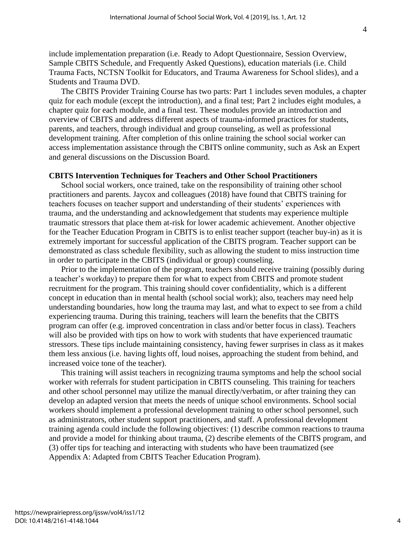include implementation preparation (i.e. Ready to Adopt Questionnaire, Session Overview, Sample CBITS Schedule, and Frequently Asked Questions), education materials (i.e. Child Trauma Facts, NCTSN Toolkit for Educators, and Trauma Awareness for School slides), and a Students and Trauma DVD.

The CBITS Provider Training Course has two parts: Part 1 includes seven modules, a chapter quiz for each module (except the introduction), and a final test; Part 2 includes eight modules, a chapter quiz for each module, and a final test. These modules provide an introduction and overview of CBITS and address different aspects of trauma-informed practices for students, parents, and teachers, through individual and group counseling, as well as professional development training. After completion of this online training the school social worker can access implementation assistance through the CBITS online community, such as Ask an Expert and general discussions on the Discussion Board.

#### **CBITS Intervention Techniques for Teachers and Other School Practitioners**

School social workers, once trained, take on the responsibility of training other school practitioners and parents. Jaycox and colleagues (2018) have found that CBITS training for teachers focuses on teacher support and understanding of their students' experiences with trauma, and the understanding and acknowledgement that students may experience multiple traumatic stressors that place them at-risk for lower academic achievement. Another objective for the Teacher Education Program in CBITS is to enlist teacher support (teacher buy-in) as it is extremely important for successful application of the CBITS program. Teacher support can be demonstrated as class schedule flexibility, such as allowing the student to miss instruction time in order to participate in the CBITS (individual or group) counseling.

Prior to the implementation of the program, teachers should receive training (possibly during a teacher's workday) to prepare them for what to expect from CBITS and promote student recruitment for the program. This training should cover confidentiality, which is a different concept in education than in mental health (school social work); also, teachers may need help understanding boundaries, how long the trauma may last, and what to expect to see from a child experiencing trauma. During this training, teachers will learn the benefits that the CBITS program can offer (e.g. improved concentration in class and/or better focus in class). Teachers will also be provided with tips on how to work with students that have experienced traumatic stressors. These tips include maintaining consistency, having fewer surprises in class as it makes them less anxious (i.e. having lights off, loud noises, approaching the student from behind, and increased voice tone of the teacher).

This training will assist teachers in recognizing trauma symptoms and help the school social worker with referrals for student participation in CBITS counseling. This training for teachers and other school personnel may utilize the manual directly/verbatim, or after training they can develop an adapted version that meets the needs of unique school environments. School social workers should implement a professional development training to other school personnel, such as administrators, other student support practitioners, and staff. A professional development training agenda could include the following objectives: (1) describe common reactions to trauma and provide a model for thinking about trauma, (2) describe elements of the CBITS program, and (3) offer tips for teaching and interacting with students who have been traumatized (see Appendix A: Adapted from CBITS Teacher Education Program).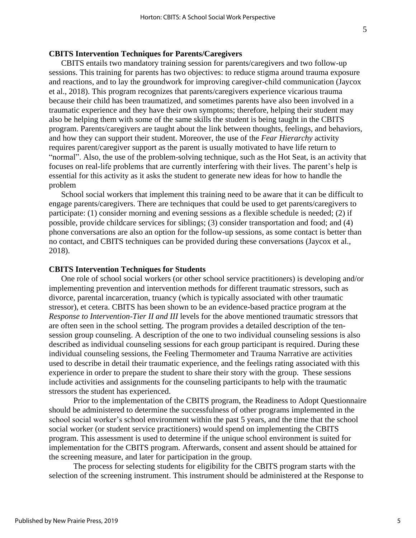#### **CBITS Intervention Techniques for Parents/Caregivers**

CBITS entails two mandatory training session for parents/caregivers and two follow-up sessions. This training for parents has two objectives: to reduce stigma around trauma exposure and reactions, and to lay the groundwork for improving caregiver-child communication (Jaycox et al., 2018). This program recognizes that parents/caregivers experience vicarious trauma because their child has been traumatized, and sometimes parents have also been involved in a traumatic experience and they have their own symptoms; therefore, helping their student may also be helping them with some of the same skills the student is being taught in the CBITS program. Parents/caregivers are taught about the link between thoughts, feelings, and behaviors, and how they can support their student. Moreover, the use of the *Fear Hierarchy* activity requires parent/caregiver support as the parent is usually motivated to have life return to "normal". Also, the use of the problem-solving technique, such as the Hot Seat, is an activity that focuses on real-life problems that are currently interfering with their lives. The parent's help is essential for this activity as it asks the student to generate new ideas for how to handle the problem

School social workers that implement this training need to be aware that it can be difficult to engage parents/caregivers. There are techniques that could be used to get parents/caregivers to participate: (1) consider morning and evening sessions as a flexible schedule is needed; (2) if possible, provide childcare services for siblings; (3) consider transportation and food; and (4) phone conversations are also an option for the follow-up sessions, as some contact is better than no contact, and CBITS techniques can be provided during these conversations (Jaycox et al., 2018).

#### **CBITS Intervention Techniques for Students**

One role of school social workers (or other school service practitioners) is developing and/or implementing prevention and intervention methods for different traumatic stressors, such as divorce, parental incarceration, truancy (which is typically associated with other traumatic stressor), et cetera. CBITS has been shown to be an evidence-based practice program at the *Response to Intervention-Tier II and III* levels for the above mentioned traumatic stressors that are often seen in the school setting. The program provides a detailed description of the tensession group counseling. A description of the one to two individual counseling sessions is also described as individual counseling sessions for each group participant is required. During these individual counseling sessions, the Feeling Thermometer and Trauma Narrative are activities used to describe in detail their traumatic experience, and the feelings rating associated with this experience in order to prepare the student to share their story with the group. These sessions include activities and assignments for the counseling participants to help with the traumatic stressors the student has experienced.

Prior to the implementation of the CBITS program, the Readiness to Adopt Questionnaire should be administered to determine the successfulness of other programs implemented in the school social worker's school environment within the past 5 years, and the time that the school social worker (or student service practitioners) would spend on implementing the CBITS program. This assessment is used to determine if the unique school environment is suited for implementation for the CBITS program. Afterwards, consent and assent should be attained for the screening measure, and later for participation in the group.

The process for selecting students for eligibility for the CBITS program starts with the selection of the screening instrument. This instrument should be administered at the Response to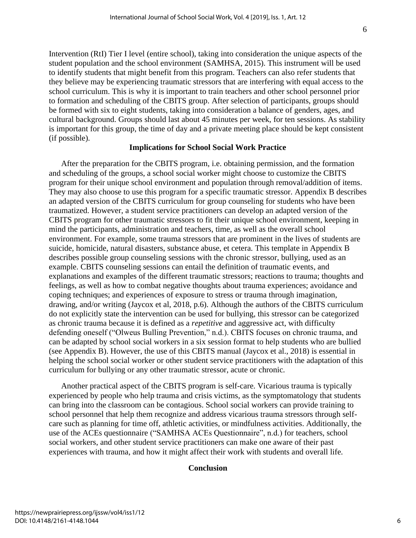Intervention (RtI) Tier I level (entire school), taking into consideration the unique aspects of the student population and the school environment (SAMHSA, 2015). This instrument will be used to identify students that might benefit from this program. Teachers can also refer students that they believe may be experiencing traumatic stressors that are interfering with equal access to the school curriculum. This is why it is important to train teachers and other school personnel prior to formation and scheduling of the CBITS group. After selection of participants, groups should be formed with six to eight students, taking into consideration a balance of genders, ages, and cultural background. Groups should last about 45 minutes per week, for ten sessions. As stability is important for this group, the time of day and a private meeting place should be kept consistent (if possible).

#### **Implications for School Social Work Practice**

After the preparation for the CBITS program, i.e. obtaining permission, and the formation and scheduling of the groups, a school social worker might choose to customize the CBITS program for their unique school environment and population through removal/addition of items. They may also choose to use this program for a specific traumatic stressor. Appendix B describes an adapted version of the CBITS curriculum for group counseling for students who have been traumatized. However, a student service practitioners can develop an adapted version of the CBITS program for other traumatic stressors to fit their unique school environment, keeping in mind the participants, administration and teachers, time, as well as the overall school environment. For example, some trauma stressors that are prominent in the lives of students are suicide, homicide, natural disasters, substance abuse, et cetera. This template in Appendix B describes possible group counseling sessions with the chronic stressor, bullying, used as an example. CBITS counseling sessions can entail the definition of traumatic events, and explanations and examples of the different traumatic stressors; reactions to trauma; thoughts and feelings, as well as how to combat negative thoughts about trauma experiences; avoidance and coping techniques; and experiences of exposure to stress or trauma through imagination, drawing, and/or writing (Jaycox et al, 2018, p.6). Although the authors of the CBITS curriculum do not explicitly state the intervention can be used for bullying, this stressor can be categorized as chronic trauma because it is defined as a *repetitive* and aggressive act, with difficulty defending oneself ("Olweus Bulling Prevention," n.d.). CBITS focuses on chronic trauma, and can be adapted by school social workers in a six session format to help students who are bullied (see Appendix B). However, the use of this CBITS manual (Jaycox et al., 2018) is essential in helping the school social worker or other student service practitioners with the adaptation of this curriculum for bullying or any other traumatic stressor, acute or chronic.

Another practical aspect of the CBITS program is self-care. Vicarious trauma is typically experienced by people who help trauma and crisis victims, as the symptomatology that students can bring into the classroom can be contagious. School social workers can provide training to school personnel that help them recognize and address vicarious trauma stressors through selfcare such as planning for time off, athletic activities, or mindfulness activities. Additionally, the use of the ACEs questionnaire ("SAMHSA ACEs Questionnaire", n.d.) for teachers, school social workers, and other student service practitioners can make one aware of their past experiences with trauma, and how it might affect their work with students and overall life.

#### **Conclusion**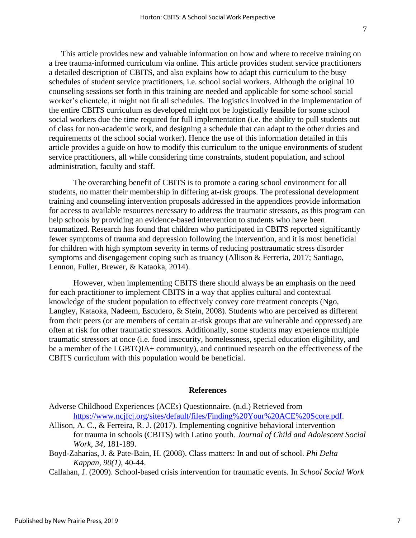This article provides new and valuable information on how and where to receive training on a free trauma-informed curriculum via online. This article provides student service practitioners a detailed description of CBITS, and also explains how to adapt this curriculum to the busy schedules of student service practitioners, i.e. school social workers. Although the original 10 counseling sessions set forth in this training are needed and applicable for some school social worker's clientele, it might not fit all schedules. The logistics involved in the implementation of the entire CBITS curriculum as developed might not be logistically feasible for some school social workers due the time required for full implementation (i.e. the ability to pull students out of class for non-academic work, and designing a schedule that can adapt to the other duties and requirements of the school social worker). Hence the use of this information detailed in this article provides a guide on how to modify this curriculum to the unique environments of student service practitioners, all while considering time constraints, student population, and school administration, faculty and staff.

The overarching benefit of CBITS is to promote a caring school environment for all students, no matter their membership in differing at-risk groups. The professional development training and counseling intervention proposals addressed in the appendices provide information for access to available resources necessary to address the traumatic stressors, as this program can help schools by providing an evidence-based intervention to students who have been traumatized. Research has found that children who participated in CBITS reported significantly fewer symptoms of trauma and depression following the intervention, and it is most beneficial for children with high symptom severity in terms of reducing posttraumatic stress disorder symptoms and disengagement coping such as truancy (Allison & Ferreria, 2017; Santiago, Lennon, Fuller, Brewer, & Kataoka, 2014).

However, when implementing CBITS there should always be an emphasis on the need for each practitioner to implement CBITS in a way that applies cultural and contextual knowledge of the student population to effectively convey core treatment concepts (Ngo, Langley, Kataoka, Nadeem, Escudero, & Stein, 2008). Students who are perceived as different from their peers (or are members of certain at-risk groups that are vulnerable and oppressed) are often at risk for other traumatic stressors. Additionally, some students may experience multiple traumatic stressors at once (i.e. food insecurity, homelessness, special education eligibility, and be a member of the LGBTQIA+ community), and continued research on the effectiveness of the CBITS curriculum with this population would be beneficial.

#### **References**

- Adverse Childhood Experiences (ACEs) Questionnaire. (n.d.) Retrieved from [https://www.ncjfcj.org/sites/default/files/Finding%20Your%20ACE%20Score.pdf.](https://www.ncjfcj.org/sites/default/files/Finding%20Your%20ACE%20Score.pdf)
- Allison, A. C., & Ferreira, R. J. (2017). Implementing cognitive behavioral intervention for trauma in schools (CBITS) with Latino youth. *Journal of Child and Adolescent Social Work, 34*, 181-189.
- Boyd-Zaharias, J. & Pate-Bain, H. (2008). Class matters: In and out of school. *Phi Delta Kappan, 90(1)*, 40-44.

Callahan, J. (2009). School-based crisis intervention for traumatic events. In *School Social Work*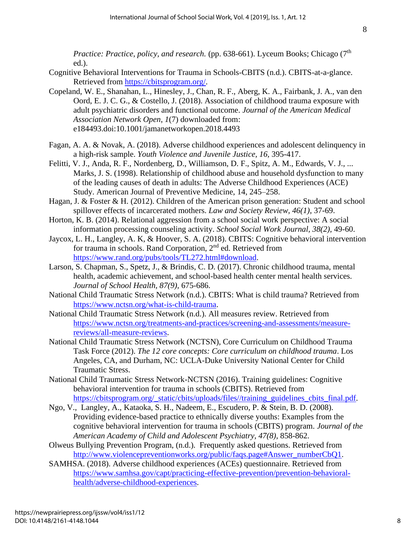*Practice: Practice, policy, and research.* (pp. 638-661). Lyceum Books; Chicago (7<sup>th</sup>) ed.).

- Cognitive Behavioral Interventions for Trauma in Schools-CBITS (n.d.). CBITS-at-a-glance. Retrieved from [https://cbitsprogram.org/.](https://cbitsprogram.org/)
- Copeland, W. E., Shanahan, L., Hinesley, J., Chan, R. F., Aberg, K. A., Fairbank, J. A., van den Oord, E. J. C. G., & Costello, J. (2018). Association of childhood trauma exposure with adult psychiatric disorders and functional outcome. *Journal of the American Medical Association Network Open*, *1*(7) downloaded from: e184493.doi:10.1001/jamanetworkopen.2018.4493
- Fagan, A. A. & Novak, A. (2018). Adverse childhood experiences and adolescent delinquency in a high-risk sample. *Youth Violence and Juvenile Justice, 16,* 395-417.
- Felitti, V. J., Anda, R. F., Nordenberg, D., Williamson, D. F., Spitz, A. M., Edwards, V. J., ... Marks, J. S. (1998). Relationship of childhood abuse and household dysfunction to many of the leading causes of death in adults: The Adverse Childhood Experiences (ACE) Study. American Journal of Preventive Medicine, 14, 245–258.
- Hagan, J. & Foster & H. (2012). Children of the American prison generation: Student and school spillover effects of incarcerated mothers. *Law and Society Review, 46(1)*, 37-69.
- Horton, K. B. (2014). Relational aggression from a school social work perspective: A social information processing counseling activity. *School Social Work Journal, 38(2)*, 49-60.
- Jaycox, L. H., Langley, A. K, & Hoover, S. A. (2018). CBITS: Cognitive behavioral intervention for trauma in schools. Rand Corporation, 2nd ed. Retrieved from [https://www.rand.org/pubs/tools/TL272.html#download.](https://www.rand.org/pubs/tools/TL272.html#download)
- Larson, S. Chapman, S., Spetz, J., & Brindis, C. D. (2017). Chronic childhood trauma, mental health, academic achievement, and school-based health center mental health services. *Journal of School Health, 87(9),* 675-686.
- National Child Traumatic Stress Network (n.d.). CBITS: What is child trauma? Retrieved from [https://www.nctsn.org/what-is-child-trauma.](https://www.nctsn.org/what-is-child-trauma)
- National Child Traumatic Stress Network (n.d.). All measures review. Retrieved from [https://www.nctsn.org/treatments-and-practices/screening-and-assessments/measure](https://www.nctsn.org/treatments-and-practices/screening-and-assessments/measure-reviews/all-measure-reviews)[reviews/all-measure-reviews.](https://www.nctsn.org/treatments-and-practices/screening-and-assessments/measure-reviews/all-measure-reviews)
- National Child Traumatic Stress Network (NCTSN), Core Curriculum on Childhood Trauma Task Force (2012). *The 12 core concepts: Core curriculum on childhood trauma*. Los Angeles, CA, and Durham, NC: UCLA-Duke University National Center for Child Traumatic Stress.
- National Child Traumatic Stress Network-NCTSN (2016). Training guidelines: Cognitive behavioral intervention for trauma in schools (CBITS). Retrieved from [https://cbitsprogram.org/\\_static/cbits/uploads/files//training\\_guidelines\\_cbits\\_final.pdf.](https://cbitsprogram.org/_static/cbits/uploads/files/training_guidelines_cbits_final.pdf)
- Ngo, V., Langley, A., Kataoka, S. H., Nadeem, E., Escudero, P. & Stein, B. D. (2008). Providing evidence-based practice to ethnically diverse youths: Examples from the cognitive behavioral intervention for trauma in schools (CBITS) program. *Journal of the American Academy of Child and Adolescent Psychiatry, 47(8)*, 858-862.
- Olweus Bullying Prevention Program, (n.d.). Frequently asked questions. Retrieved from [http://www.violencepreventionworks.org/public/faqs.page#Answer\\_numberCbQ1.](http://www.violencepreventionworks.org/public/faqs.page#Answer_numberCbQ1)
- SAMHSA. (2018). Adverse childhood experiences (ACEs) questionnaire. Retrieved from [https://www.samhsa.gov/capt/practicing-effective-prevention/prevention-behavioral](https://www.samhsa.gov/capt/practicing-effective-prevention/prevention-behavioral-health/adverse-childhood-experiences)[health/adverse-childhood-experiences.](https://www.samhsa.gov/capt/practicing-effective-prevention/prevention-behavioral-health/adverse-childhood-experiences)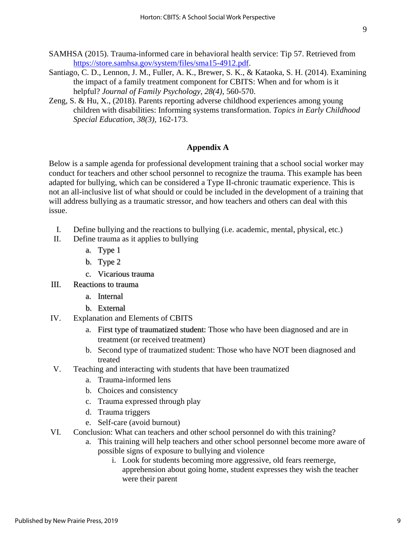- SAMHSA (2015). Trauma-informed care in behavioral health service: Tip 57. Retrieved from [https://store.samhsa.gov/system/files/sma15-4912.pdf.](https://store.samhsa.gov/system/files/sma15-4912.pdf)
- Santiago, C. D., Lennon, J. M., Fuller, A. K., Brewer, S. K., & Kataoka, S. H. (2014). Examining the impact of a family treatment component for CBITS: When and for whom is it helpful? *Journal of Family Psychology, 28(4)*, 560-570.
- Zeng, S. & Hu, X., (2018). Parents reporting adverse childhood experiences among young children with disabilities: Informing systems transformation. *Topics in Early Childhood Special Education, 38(3),* 162-173.

### **Appendix A**

Below is a sample agenda for professional development training that a school social worker may conduct for teachers and other school personnel to recognize the trauma. This example has been adapted for bullying, which can be considered a Type II-chronic traumatic experience. This is not an all-inclusive list of what should or could be included in the development of a training that will address bullying as a traumatic stressor, and how teachers and others can deal with this issue.

- I. Define bullying and the reactions to bullying (i.e. academic, mental, physical, etc.)
- II. Define trauma as it applies to bullying
	- a. Type 1
	- b. Type 2
	- c. Vicarious trauma
- III. Reactions to trauma
	- a. Internal
	- b. External
- IV. Explanation and Elements of CBITS
	- a. First type of traumatized student: Those who have been diagnosed and are in treatment (or received treatment)
	- b. Second type of traumatized student: Those who have NOT been diagnosed and treated
- V. Teaching and interacting with students that have been traumatized
	- a. Trauma-informed lens
	- b. Choices and consistency
	- c. Trauma expressed through play
	- d. Trauma triggers
	- e. Self-care (avoid burnout)
- VI. Conclusion: What can teachers and other school personnel do with this training?
	- a. This training will help teachers and other school personnel become more aware of possible signs of exposure to bullying and violence
		- i. Look for students becoming more aggressive, old fears reemerge, apprehension about going home, student expresses they wish the teacher were their parent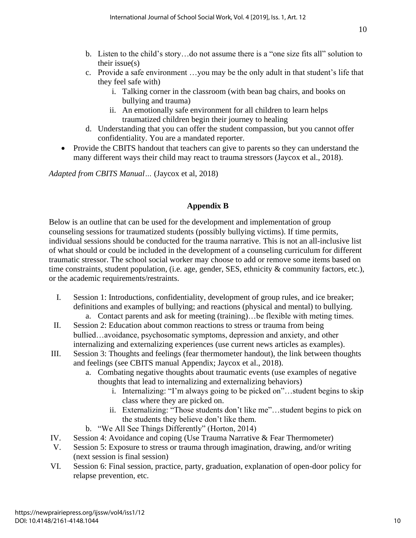- b. Listen to the child's story…do not assume there is a "one size fits all" solution to their issue(s)
- c. Provide a safe environment …you may be the only adult in that student's life that they feel safe with)
	- i. Talking corner in the classroom (with bean bag chairs, and books on bullying and trauma)
	- ii. An emotionally safe environment for all children to learn helps traumatized children begin their journey to healing
- d. Understanding that you can offer the student compassion, but you cannot offer confidentiality. You are a mandated reporter.
- Provide the CBITS handout that teachers can give to parents so they can understand the many different ways their child may react to trauma stressors (Jaycox et al., 2018).

*Adapted from CBITS Manual…* (Jaycox et al, 2018)

# **Appendix B**

Below is an outline that can be used for the development and implementation of group counseling sessions for traumatized students (possibly bullying victims). If time permits, individual sessions should be conducted for the trauma narrative. This is not an all-inclusive list of what should or could be included in the development of a counseling curriculum for different traumatic stressor. The school social worker may choose to add or remove some items based on time constraints, student population, (i.e. age, gender, SES, ethnicity & community factors, etc.), or the academic requirements/restraints.

- I. Session 1: Introductions, confidentiality, development of group rules, and ice breaker; definitions and examples of bullying; and reactions (physical and mental) to bullying. a. Contact parents and ask for meeting (training)…be flexible with meting times.
- II. Session 2: Education about common reactions to stress or trauma from being bullied…avoidance, psychosomatic symptoms, depression and anxiety, and other internalizing and externalizing experiences (use current news articles as examples).
- III. Session 3: Thoughts and feelings (fear thermometer handout), the link between thoughts and feelings (see CBITS manual Appendix; Jaycox et al., 2018).
	- a. Combating negative thoughts about traumatic events (use examples of negative thoughts that lead to internalizing and externalizing behaviors)
		- i. Internalizing: "I'm always going to be picked on"…student begins to skip class where they are picked on.
		- ii. Externalizing: "Those students don't like me"…student begins to pick on the students they believe don't like them.
	- b. "We All See Things Differently" (Horton, 2014)
- IV. Session 4: Avoidance and coping (Use Trauma Narrative & Fear Thermometer)
- V. Session 5: Exposure to stress or trauma through imagination, drawing, and/or writing (next session is final session)
- VI. Session 6: Final session, practice, party, graduation, explanation of open-door policy for relapse prevention, etc.